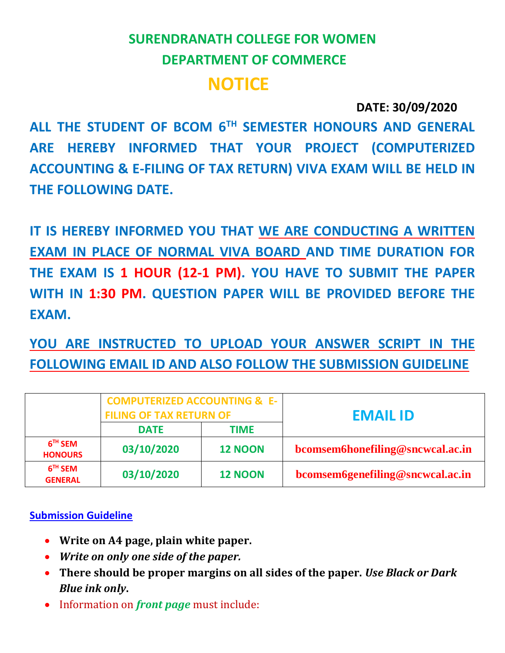# **SURENDRANATH COLLEGE FOR WOMEN DEPARTMENT OF COMMERCE NOTICE**

## **DATE: 30/09/2020**

**ALL THE STUDENT OF BCOM 6TH SEMESTER HONOURS AND GENERAL ARE HEREBY INFORMED THAT YOUR PROJECT (COMPUTERIZED ACCOUNTING & E-FILING OF TAX RETURN) VIVA EXAM WILL BE HELD IN THE FOLLOWING DATE.**

IT IS HEREBY INFORMED YOU THAT WE ARE CONDUCTING A WRITTEN **EXAM IN PLACE OF NORMAL VIVA BOARD AND TIME DURATION FOR THE EXAM IS 1 HOUR (12-1 PM). YOU HAVE TO SUBMIT THE PAPER WITH IN 1:30 PM. QUESTION PAPER WILL BE PROVIDED BEFORE THE EXAM.**

**YOU ARE INSTRUCTED TO UPLOAD YOUR ANSWER SCRIPT IN THE FOLLOWING EMAIL ID AND ALSO FOLLOW THE SUBMISSION GUIDELINE**

|                             | <b>COMPUTERIZED ACCOUNTING &amp; E-</b><br><b>FILING OF TAX RETURN OF</b> |                | <b>EMAIL ID</b>                  |
|-----------------------------|---------------------------------------------------------------------------|----------------|----------------------------------|
|                             | <b>DATE</b>                                                               | TIME           |                                  |
| $6TH$ SEM<br><b>HONOURS</b> | 03/10/2020                                                                | <b>12 NOON</b> | bcomsem6honefiling@sncwcal.ac.in |
| $6TH$ SEM<br><b>GENERAL</b> | 03/10/2020                                                                | <b>12 NOON</b> | bcomsem6genefiling@sncwcal.ac.in |

#### **Submission Guideline**

- **Write on A4 page, plain white paper.**
- *Write on only one side of the paper.*
- **There should be proper margins on all sides of the paper.** *Use Black or Dark Blue ink only***.**
- Information on *front page* must include: